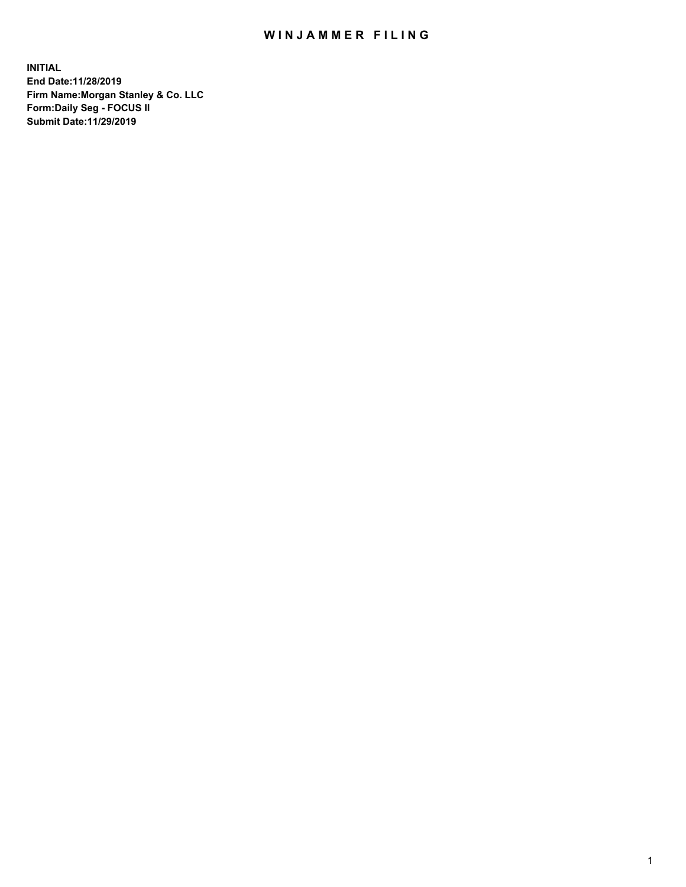## WIN JAMMER FILING

**INITIAL End Date:11/28/2019 Firm Name:Morgan Stanley & Co. LLC Form:Daily Seg - FOCUS II Submit Date:11/29/2019**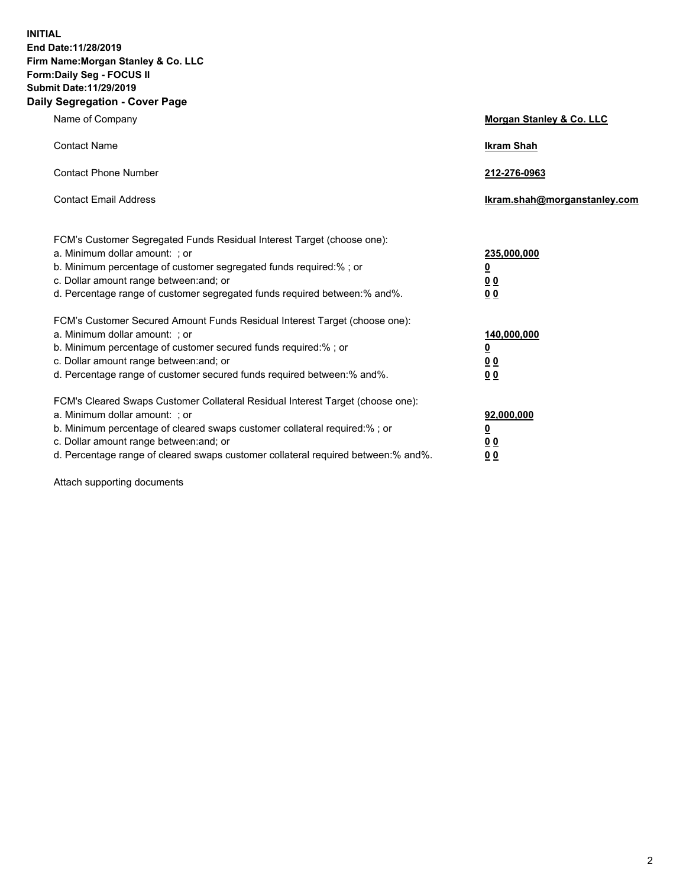**INITIAL End Date:11/28/2019 Firm Name:Morgan Stanley & Co. LLC Form:Daily Seg - FOCUS II Submit Date:11/29/2019 Daily Segregation - Cover Page**

| Name of Company                                                                                                                                                                                                                                                                                                                | Morgan Stanley & Co. LLC                               |
|--------------------------------------------------------------------------------------------------------------------------------------------------------------------------------------------------------------------------------------------------------------------------------------------------------------------------------|--------------------------------------------------------|
| <b>Contact Name</b>                                                                                                                                                                                                                                                                                                            | <b>Ikram Shah</b>                                      |
| <b>Contact Phone Number</b>                                                                                                                                                                                                                                                                                                    | 212-276-0963                                           |
| <b>Contact Email Address</b>                                                                                                                                                                                                                                                                                                   | Ikram.shah@morganstanley.com                           |
| FCM's Customer Segregated Funds Residual Interest Target (choose one):<br>a. Minimum dollar amount: : or<br>b. Minimum percentage of customer segregated funds required:% ; or<br>c. Dollar amount range between: and; or<br>d. Percentage range of customer segregated funds required between:% and%.                         | 235,000,000<br><u>0</u><br>0 <sub>0</sub><br><u>00</u> |
| FCM's Customer Secured Amount Funds Residual Interest Target (choose one):<br>a. Minimum dollar amount: ; or<br>b. Minimum percentage of customer secured funds required:% ; or<br>c. Dollar amount range between: and; or<br>d. Percentage range of customer secured funds required between:% and%.                           | 140,000,000<br><u>0</u><br><u>00</u><br>0 <sub>0</sub> |
| FCM's Cleared Swaps Customer Collateral Residual Interest Target (choose one):<br>a. Minimum dollar amount: ; or<br>b. Minimum percentage of cleared swaps customer collateral required:% ; or<br>c. Dollar amount range between: and; or<br>d. Percentage range of cleared swaps customer collateral required between:% and%. | 92,000,000<br><u>0</u><br><u>00</u><br>0 <sub>0</sub>  |

Attach supporting documents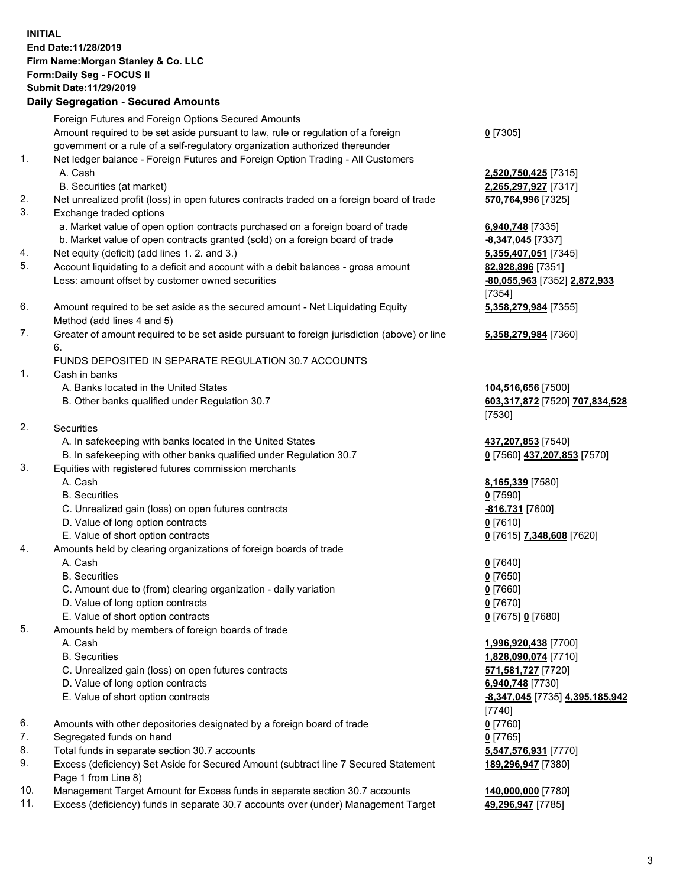## **INITIAL End Date:11/28/2019 Firm Name:Morgan Stanley & Co. LLC Form:Daily Seg - FOCUS II Submit Date:11/29/2019**

**Daily Segregation - Secured Amounts** Foreign Futures and Foreign Options Secured Amounts Amount required to be set aside pursuant to law, rule or regulation of a foreign government or a rule of a self-regulatory organization authorized thereunder 1. Net ledger balance - Foreign Futures and Foreign Option Trading - All Customers A. Cash **2,520,750,425** [7315] B. Securities (at market) **2,265,297,927** [7317] 2. Net unrealized profit (loss) in open futures contracts traded on a foreign board of trade **570,764,996** [7325] 3. Exchange traded options a. Market value of open option contracts purchased on a foreign board of trade **6,940,748** [7335] b. Market value of open contracts granted (sold) on a foreign board of trade **-8,347,045** [7337] 4. Net equity (deficit) (add lines 1. 2. and 3.) **5,355,407,051** [7345] 5. Account liquidating to a deficit and account with a debit balances - gross amount **82,928,896** [7351] Less: amount offset by customer owned securities **-80,055,963** [7352] **2,872,933** 6. Amount required to be set aside as the secured amount - Net Liquidating Equity Method (add lines 4 and 5) 7. Greater of amount required to be set aside pursuant to foreign jurisdiction (above) or line 6. FUNDS DEPOSITED IN SEPARATE REGULATION 30.7 ACCOUNTS 1. Cash in banks A. Banks located in the United States **104,516,656** [7500] B. Other banks qualified under Regulation 30.7 **603,317,872** [7520] **707,834,528** 2. Securities A. In safekeeping with banks located in the United States **437,207,853** [7540] B. In safekeeping with other banks qualified under Regulation 30.7 **0** [7560] **437,207,853** [7570] 3. Equities with registered futures commission merchants A. Cash **8,165,339** [7580] B. Securities **0** [7590] C. Unrealized gain (loss) on open futures contracts **-816,731** [7600] D. Value of long option contracts **0** [7610] E. Value of short option contracts **0** [7615] **7,348,608** [7620] 4. Amounts held by clearing organizations of foreign boards of trade A. Cash **0** [7640] B. Securities **0** [7650] C. Amount due to (from) clearing organization - daily variation **0** [7660] D. Value of long option contracts **0** [7670] E. Value of short option contracts **0** [7675] **0** [7680] 5. Amounts held by members of foreign boards of trade A. Cash **1,996,920,438** [7700] B. Securities **1,828,090,074** [7710]

- C. Unrealized gain (loss) on open futures contracts **571,581,727** [7720]
- D. Value of long option contracts **6,940,748** [7730]
- E. Value of short option contracts **-8,347,045** [7735] **4,395,185,942**
- 6. Amounts with other depositories designated by a foreign board of trade **0** [7760]
- 7. Segregated funds on hand **0** [7765]
- 8. Total funds in separate section 30.7 accounts **5,547,576,931** [7770]
- 9. Excess (deficiency) Set Aside for Secured Amount (subtract line 7 Secured Statement Page 1 from Line 8)
- 10. Management Target Amount for Excess funds in separate section 30.7 accounts **140,000,000** [7780]
- 11. Excess (deficiency) funds in separate 30.7 accounts over (under) Management Target **49,296,947** [7785]

**0** [7305]

[7354] **5,358,279,984** [7355]

**5,358,279,984** [7360]

[7530]

[7740] **189,296,947** [7380]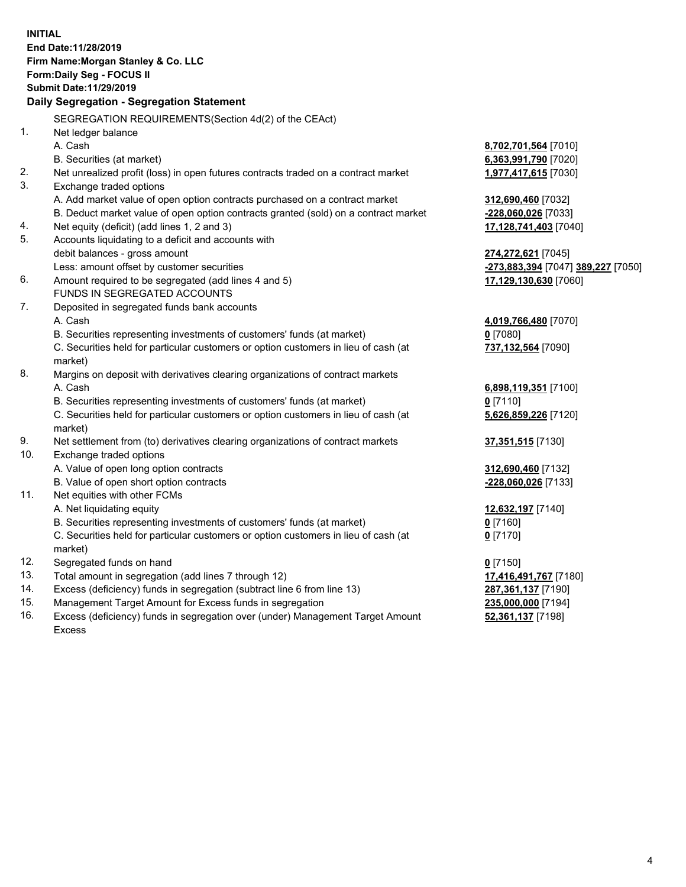|     | <b>INITIAL</b><br>End Date: 11/28/2019                                               |                                    |
|-----|--------------------------------------------------------------------------------------|------------------------------------|
|     | Firm Name: Morgan Stanley & Co. LLC                                                  |                                    |
|     | Form: Daily Seg - FOCUS II<br>Submit Date: 11/29/2019                                |                                    |
|     | Daily Segregation - Segregation Statement                                            |                                    |
|     |                                                                                      |                                    |
|     | SEGREGATION REQUIREMENTS(Section 4d(2) of the CEAct)                                 |                                    |
| 1.  | Net ledger balance                                                                   |                                    |
|     | A. Cash                                                                              | 8,702,701,564 [7010]               |
|     | B. Securities (at market)                                                            | 6,363,991,790 [7020]               |
| 2.  | Net unrealized profit (loss) in open futures contracts traded on a contract market   | 1,977,417,615 [7030]               |
| 3.  | Exchange traded options                                                              |                                    |
|     | A. Add market value of open option contracts purchased on a contract market          | 312,690,460 [7032]                 |
|     | B. Deduct market value of open option contracts granted (sold) on a contract market  | -228,060,026 [7033]                |
| 4.  | Net equity (deficit) (add lines 1, 2 and 3)                                          | 17,128,741,403 [7040]              |
| 5.  | Accounts liquidating to a deficit and accounts with                                  |                                    |
|     | debit balances - gross amount                                                        | 274,272,621 [7045]                 |
| 6.  | Less: amount offset by customer securities                                           | -273,883,394 [7047] 389,227 [7050] |
|     | Amount required to be segregated (add lines 4 and 5)<br>FUNDS IN SEGREGATED ACCOUNTS | 17,129,130,630 [7060]              |
| 7.  | Deposited in segregated funds bank accounts                                          |                                    |
|     | A. Cash                                                                              | 4,019,766,480 [7070]               |
|     | B. Securities representing investments of customers' funds (at market)               | $0$ [7080]                         |
|     | C. Securities held for particular customers or option customers in lieu of cash (at  | 737,132,564 [7090]                 |
|     | market)                                                                              |                                    |
| 8.  | Margins on deposit with derivatives clearing organizations of contract markets       |                                    |
|     | A. Cash                                                                              | 6,898,119,351 [7100]               |
|     | B. Securities representing investments of customers' funds (at market)               | $0$ [7110]                         |
|     | C. Securities held for particular customers or option customers in lieu of cash (at  | 5,626,859,226 [7120]               |
|     | market)                                                                              |                                    |
| 9.  | Net settlement from (to) derivatives clearing organizations of contract markets      | 37,351,515 [7130]                  |
| 10. | Exchange traded options                                                              |                                    |
|     | A. Value of open long option contracts                                               | 312,690,460 [7132]                 |
|     | B. Value of open short option contracts                                              | -228,060,026 [7133]                |
| 11. | Net equities with other FCMs                                                         |                                    |
|     | A. Net liquidating equity                                                            | 12,632,197 [7140]                  |
|     | B. Securities representing investments of customers' funds (at market)               | $0$ [7160]                         |
|     | C. Securities held for particular customers or option customers in lieu of cash (at  | $0$ [7170]                         |
|     | market)                                                                              |                                    |
| 12. | Segregated funds on hand                                                             | $0$ [7150]                         |
| 13. | Total amount in segregation (add lines 7 through 12)                                 | 17,416,491,767 [7180]              |
| 14. | Excess (deficiency) funds in segregation (subtract line 6 from line 13)              | 287,361,137 [7190]                 |
| 15. | Management Target Amount for Excess funds in segregation                             | 235,000,000 [7194]                 |
| 16. | Excess (deficiency) funds in segregation over (under) Management Target Amount       | 52,361,137 [7198]                  |

Excess